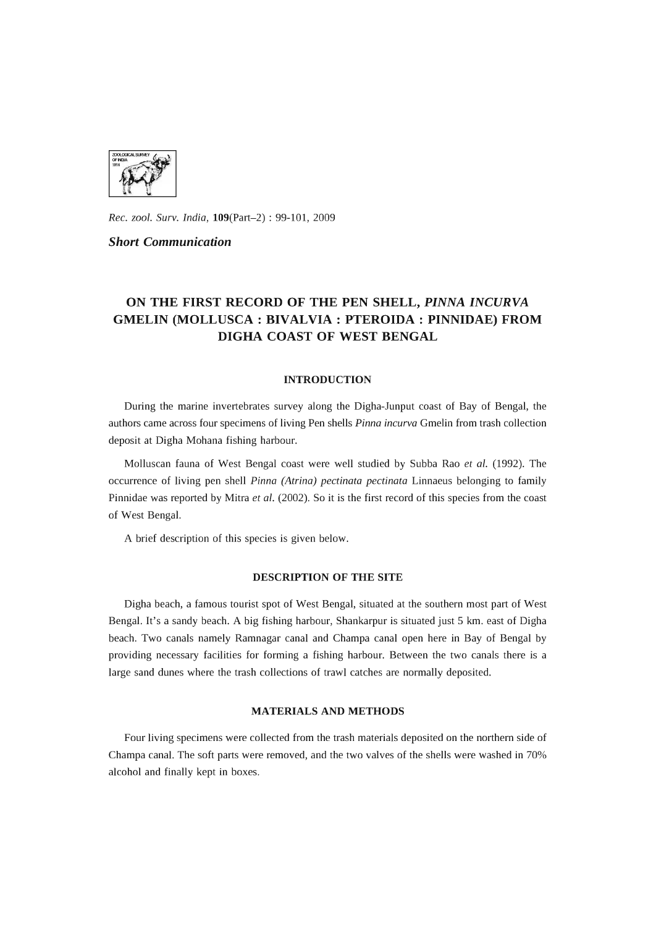

*Rec. zool. Surv. India,* 109(Part-2) : 99-101, 2009

#### *Short Communication*

# **ON THE FIRST RECORD OF THE PEN SHELL,** *PINNA INCURVA*  **GMELIN (MOLLUSCA: BIVALVIA: PTEROIDA : PINNIDAE) FROM DIGHA COAST OF WEST BENGAL**

#### **INTRODUCTION**

During the marine invertebrates survey along the Digha-Junput coast of Bay of Bengal, the authors came across four specimens of living Pen shells *Pinna incurva* Gmelin from trash collection deposit at Digha Mohana fishing harbour.

Molluscan fauna of West Bengal coast were well studied by Subba Rao et al. (1992). The occurrence of living pen shell *Pinna (Atrina) pectinata pectinata* Linnaeus belonging to family Pinnidae was reported by Mitra *et al.* (2002). So it is the first record of this species from the coast of West Bengal.

A brief description of this species is given below.

### **DESCRIPTION OF THE SITE**

Digha beach, a famous tourist spot of West Bengal, situated at the southern most part of West Bengal. It's a sandy beach. A big fishing harbour, Shankarpur is situated just 5 km. east of Digha beach. Two canals namely Ramnagar canal and Champa canal open here **in** Bay of Bengal by providing necessary facilities for forming a fishing harbour. Between the two canals there is a large sand dunes where the trash collections of trawl catches are normally deposited.

#### **MATERIALS AND METHODS**

Four living specimens were collected from the trash materials deposited on the northern side of Champa canal. The soft parts were removed, and the two valves of the shells were washed **in** 70% alcohol and finally kept **in** boxes.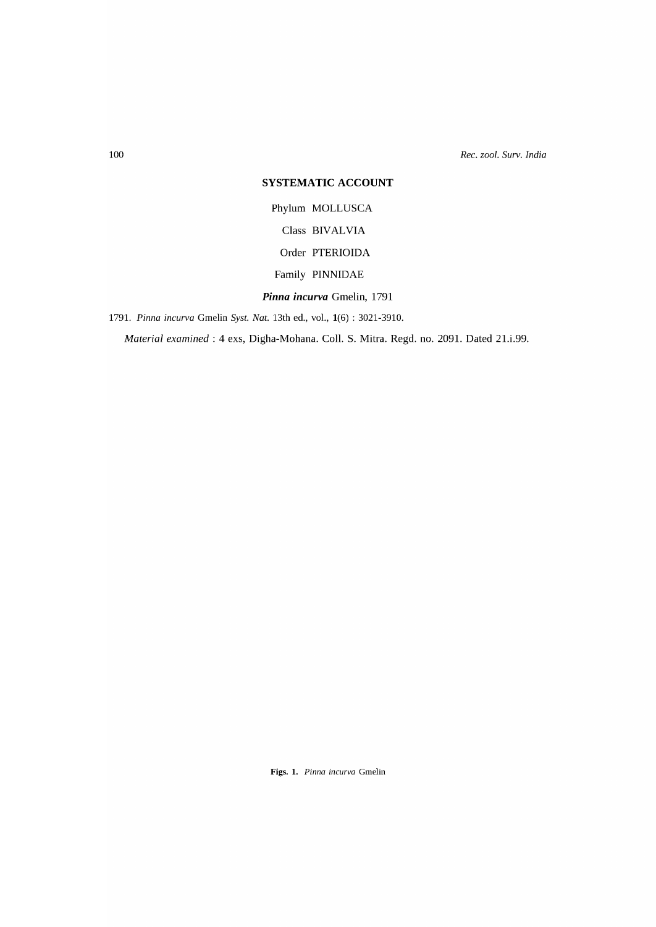*Rec. zool. Surv. India* 

## **SYSTEMATIC ACCOUNT**

Phylum MOLLUSCA Class BIVALVIA Order PTERIOIDA Family PINNIDAE *Pinna incurva* Gmelin, 1791

*1791. Pinna incurva* Gmelin *Syst. Nat.* 13th ed., vol., 1(6) : 3021-3910.

*Material examined:* 4 exs, Digha-Mohana. Call. S. Mitra. Regd. no. 2091. Dated 21.i.99.

Figs. 1. Pinna incurva Gmelin

100